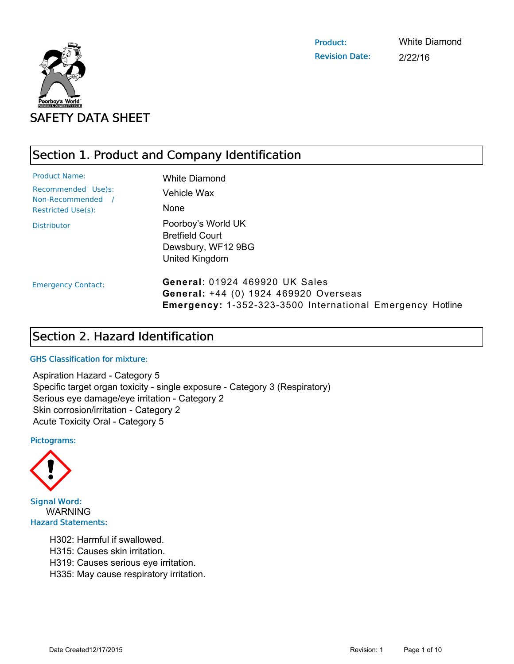

Product: Revision Date: White Diamond 2/22/16

# Section 1. Product and Company Identification

| <b>Product Name:</b>                    | <b>White Diamond</b>                                                                                                                               |
|-----------------------------------------|----------------------------------------------------------------------------------------------------------------------------------------------------|
| Recommended Use)s:<br>Non-Recommended / | Vehicle Wax                                                                                                                                        |
| <b>Restricted Use(s):</b>               | <b>None</b>                                                                                                                                        |
| <b>Distributor</b>                      | Poorboy's World UK<br><b>Bretfield Court</b><br>Dewsbury, WF12 9BG<br>United Kingdom                                                               |
| <b>Emergency Contact:</b>               | <b>General: 01924 469920 UK Sales</b><br>General: +44 (0) 1924 469920 Overseas<br><b>Emergency: 1-352-323-3500 International Emergency Hotline</b> |

# Section 2. Hazard Identification

### GHS Classification for mixture:

Aspiration Hazard - Category 5 Specific target organ toxicity - single exposure - Category 3 (Respiratory) Serious eye damage/eye irritation - Category 2 Skin corrosion/irritation - Category 2 Acute Toxicity Oral - Category 5

#### Pictograms:



**Signal Word: WARNING Hazard Statements:** 

- H302: Harmful if swallowed.
- H315: Causes skin irritation.
- H319: Causes serious eye irritation.
- H335: May cause respiratory irritation.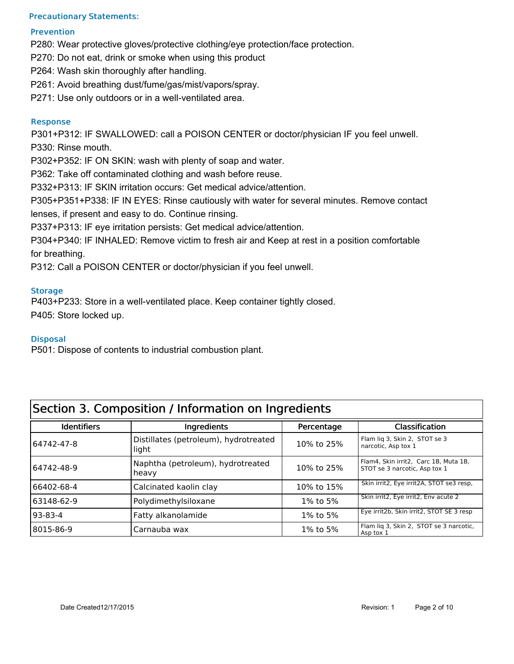### Precautionary Statements:

### Prevention

P280: Wear protective gloves/protective clothing/eye protection/face protection.

P270: Do not eat, drink or smoke when using this product

P264: Wash skin thoroughly after handling.

P261: Avoid breathing dust/fume/gas/mist/vapors/spray.

P271: Use only outdoors or in a well-ventilated area.

### Response

P301+P312: IF SWALLOWED: call a POISON CENTER or doctor/physician IF you feel unwell. P330: Rinse mouth.

P302+P352: IF ON SKIN: wash with plenty of soap and water.

P362: Take off contaminated clothing and wash before reuse.

P332+P313: IF SKIN irritation occurs: Get medical advice/attention.

P305+P351+P338: IF IN EYES: Rinse cautiously with water for several minutes. Remove contact

lenses, if present and easy to do. Continue rinsing.

P337+P313: IF eye irritation persists: Get medical advice/attention.

P304+P340: IF INHALED: Remove victim to fresh air and Keep at rest in a position comfortable for breathing.

P312: Call a POISON CENTER or doctor/physician if you feel unwell.

### **Storage**

P403+P233: Store in a well-ventilated place. Keep container tightly closed. P405: Store locked up.

### **Disposal**

P501: Dispose of contents to industrial combustion plant.

| Section 3. Composition / Information on Ingredients |                                                |            |                                                                        |
|-----------------------------------------------------|------------------------------------------------|------------|------------------------------------------------------------------------|
| <b>Identifiers</b>                                  | Ingredients                                    | Percentage | <b>Classification</b>                                                  |
| 64742-47-8                                          | Distillates (petroleum), hydrotreated<br>light | 10% to 25% | Flam lig 3, Skin 2, STOT se 3<br>narcotic, Asp tox 1                   |
| 64742-48-9                                          | Naphtha (petroleum), hydrotreated<br>heavy     | 10% to 25% | Flam4, Skin irrit2, Carc 1B, Muta 1B,<br>STOT se 3 narcotic, Asp tox 1 |
| 66402-68-4                                          | Calcinated kaolin clay                         | 10% to 15% | Skin irrit2, Eye irrit2A, STOT se3 resp,                               |
| 63148-62-9                                          | Polydimethylsiloxane                           | 1% to 5%   | Skin irrit2, Eye irrit2, Env acute 2                                   |
| 93-83-4                                             | Fatty alkanolamide                             | 1% to 5%   | Eye irrit2b, Skin irrit2, STOT SE 3 resp                               |
| 8015-86-9                                           | Carnauba wax                                   | 1% to 5%   | Flam lig 3, Skin 2, STOT se 3 narcotic,<br>Asp tox 1                   |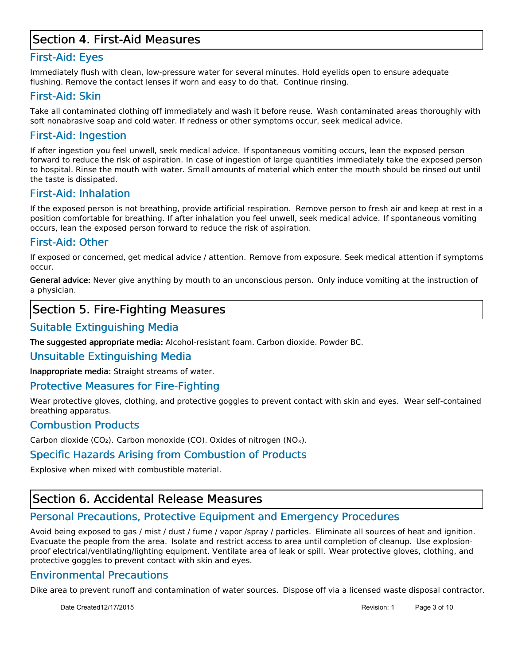## Section 4. First-Aid Measures

## First-Aid: Eyes

Immediately flush with clean, low-pressure water for several minutes. Hold eyelids open to ensure adequate flushing. Remove the contact lenses if worn and easy to do that. Continue rinsing.

## First-Aid: Skin

Take all contaminated clothing off immediately and wash it before reuse. Wash contaminated areas thoroughly with soft nonabrasive soap and cold water. If redness or other symptoms occur, seek medical advice.

## First-Aid: Ingestion

If after ingestion you feel unwell, seek medical advice. If spontaneous vomiting occurs, lean the exposed person forward to reduce the risk of aspiration. In case of ingestion of large quantities immediately take the exposed person to hospital. Rinse the mouth with water. Small amounts of material which enter the mouth should be rinsed out until the taste is dissipated.

## First-Aid: Inhalation

If the exposed person is not breathing, provide artificial respiration. Remove person to fresh air and keep at rest in a position comfortable for breathing. If after inhalation you feel unwell, seek medical advice. If spontaneous vomiting occurs, lean the exposed person forward to reduce the risk of aspiration.

## First-Aid: Other

If exposed or concerned, get medical advice / attention. Remove from exposure. Seek medical attention if symptoms occur.

General advice: Never give anything by mouth to an unconscious person. Only induce vomiting at the instruction of a physician.

## Section 5. Fire-Fighting Measures

## Suitable Extinguishing Media

The suggested appropriate media: Alcohol-resistant foam. Carbon dioxide. Powder BC.

### Unsuitable Extinguishing Media

Inappropriate media: Straight streams of water.

## Protective Measures for Fire-Fighting

Wear protective gloves, clothing, and protective goggles to prevent contact with skin and eyes. Wear self-contained breathing apparatus.

## Combustion Products

Carbon dioxide (CO<sub>2</sub>). Carbon monoxide (CO). Oxides of nitrogen (NO<sub>x</sub>).

## Specific Hazards Arising from Combustion of Products

Explosive when mixed with combustible material.

# Section 6. Accidental Release Measures

## Personal Precautions, Protective Equipment and Emergency Procedures

Avoid being exposed to gas / mist / dust / fume / vapor /spray / particles. Eliminate all sources of heat and ignition. Evacuate the people from the area. Isolate and restrict access to area until completion of cleanup. Use explosionproof electrical/ventilating/lighting equipment. Ventilate area of leak or spill. Wear protective gloves, clothing, and protective goggles to prevent contact with skin and eyes.

## Environmental Precautions

Dike area to prevent runoff and contamination of water sources. Dispose off via a licensed waste disposal contractor.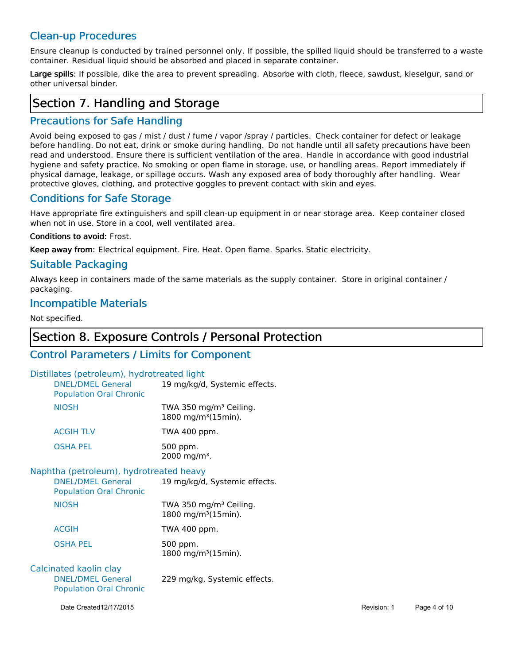## Clean-up Procedures

Ensure cleanup is conducted by trained personnel only. If possible, the spilled liquid should be transferred to a waste container. Residual liquid should be absorbed and placed in separate container.

Large spills: If possible, dike the area to prevent spreading. Absorbe with cloth, fleece, sawdust, kieselgur, sand or other universal binder.

## Section 7. Handling and Storage

## Precautions for Safe Handling

Avoid being exposed to gas / mist / dust / fume / vapor /spray / particles. Check container for defect or leakage before handling. Do not eat, drink or smoke during handling. Do not handle until all safety precautions have been read and understood. Ensure there is sufficient ventilation of the area. Handle in accordance with good industrial hygiene and safety practice. No smoking or open flame in storage, use, or handling areas. Report immediately if physical damage, leakage, or spillage occurs. Wash any exposed area of body thoroughly after handling. Wear protective gloves, clothing, and protective goggles to prevent contact with skin and eyes.

## Conditions for Safe Storage

Have appropriate fire extinguishers and spill clean-up equipment in or near storage area. Keep container closed when not in use. Store in a cool, well ventilated area.

### Conditions to avoid: Frost.

Keep away from: Electrical equipment. Fire. Heat. Open flame. Sparks. Static electricity.

## Suitable Packaging

Always keep in containers made of the same materials as the supply container. Store in original container / packaging.

## Incompatible Materials

Not specified.

## Section 8. Exposure Controls / Personal Protection

## Control Parameters / Limits for Component

### Distillates (petroleum), hydrotreated light

| <b>DNEL/DMEL General</b><br><b>Population Oral Chronic</b> | 19 mg/kg/d, Systemic effects.                                         |
|------------------------------------------------------------|-----------------------------------------------------------------------|
| <b>NIOSH</b>                                               | TWA 350 mg/m <sup>3</sup> Ceiling.<br>1800 mg/m <sup>3</sup> (15min). |
| <b>ACGIH TLV</b>                                           | TWA 400 ppm.                                                          |
| <b>OSHA PEL</b>                                            | 500 ppm.<br>2000 mg/m <sup>3</sup> .                                  |

### Naphtha (petroleum), hydrotreated heavy

| <b>DNEL/DMEL General</b><br><b>Population Oral Chronic</b> | 19 mg/kg/d, Systemic effects.                                         |
|------------------------------------------------------------|-----------------------------------------------------------------------|
| <b>NIOSH</b>                                               | TWA 350 mg/m <sup>3</sup> Ceiling.<br>1800 mg/m <sup>3</sup> (15min). |
| <b>ACGIH</b>                                               | TWA 400 ppm.                                                          |
| OSHA PEL                                                   | 500 ppm.<br>1800 mg/m <sup>3</sup> (15min).                           |

#### DNEL/DMEL General Population Oral Chronic Calcinated kaolin clay 229 mg/kg, Systemic effects.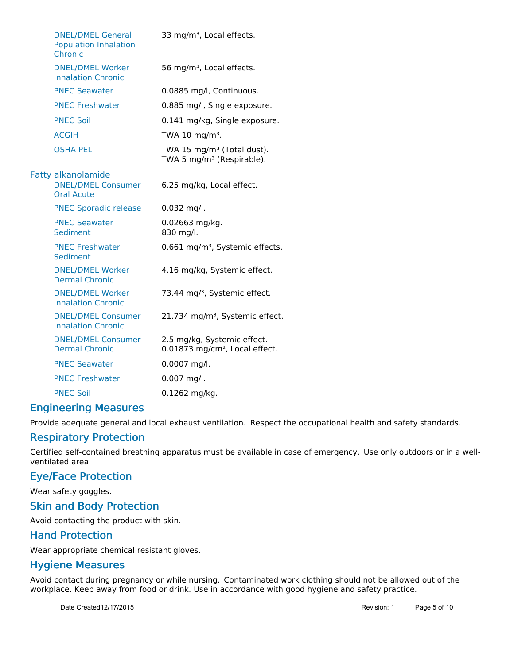| <b>DNEL/DMEL General</b><br><b>Population Inhalation</b><br>Chronic         | 33 mg/m <sup>3</sup> , Local effects.                                           |
|-----------------------------------------------------------------------------|---------------------------------------------------------------------------------|
| <b>DNEL/DMEL Worker</b><br><b>Inhalation Chronic</b>                        | 56 mg/m <sup>3</sup> , Local effects.                                           |
| <b>PNEC Seawater</b>                                                        | 0.0885 mg/l, Continuous.                                                        |
| <b>PNEC Freshwater</b>                                                      | 0.885 mg/l, Single exposure.                                                    |
| <b>PNEC Soil</b>                                                            | 0.141 mg/kg, Single exposure.                                                   |
| <b>ACGIH</b>                                                                | TWA 10 mg/m <sup>3</sup> .                                                      |
| <b>OSHA PEL</b>                                                             | TWA 15 mg/m <sup>3</sup> (Total dust).<br>TWA 5 mg/m <sup>3</sup> (Respirable). |
| <b>Fatty alkanolamide</b><br><b>DNEL/DMEL Consumer</b><br><b>Oral Acute</b> | 6.25 mg/kg, Local effect.                                                       |
| <b>PNEC Sporadic release</b>                                                | $0.032$ mg/l.                                                                   |
| <b>PNEC Seawater</b><br>Sediment                                            | 0.02663 mg/kg.<br>830 mg/l.                                                     |
| <b>PNEC Freshwater</b><br>Sediment                                          | 0.661 mg/m <sup>3</sup> , Systemic effects.                                     |
| <b>DNEL/DMEL Worker</b><br><b>Dermal Chronic</b>                            | 4.16 mg/kg, Systemic effect.                                                    |
| <b>DNEL/DMEL Worker</b><br><b>Inhalation Chronic</b>                        | 73.44 mg/ <sup>3</sup> , Systemic effect.                                       |
| <b>DNEL/DMEL Consumer</b><br><b>Inhalation Chronic</b>                      | 21.734 mg/m <sup>3</sup> , Systemic effect.                                     |
| <b>DNEL/DMEL Consumer</b><br><b>Dermal Chronic</b>                          | 2.5 mg/kg, Systemic effect.<br>0.01873 mg/cm <sup>2</sup> , Local effect.       |
| <b>PNEC Seawater</b>                                                        | 0.0007 mg/l.                                                                    |
| <b>PNEC Freshwater</b>                                                      | $0.007$ mg/l.                                                                   |
| <b>PNEC Soil</b>                                                            | 0.1262 mg/kg.                                                                   |

## **Engineering Measures**

Provide adequate general and local exhaust ventilation. Respect the occupational health and safety standards.

## Respiratory Protection

Certified self-contained breathing apparatus must be available in case of emergency. Use only outdoors or in a wellventilated area.

### Eye/Face Protection

Wear safety goggles.

### Skin and Body Protection

Avoid contacting the product with skin.

### Hand Protection

Wear appropriate chemical resistant gloves.

## Hygiene Measures

Avoid contact during pregnancy or while nursing. Contaminated work clothing should not be allowed out of the workplace. Keep away from food or drink. Use in accordance with good hygiene and safety practice.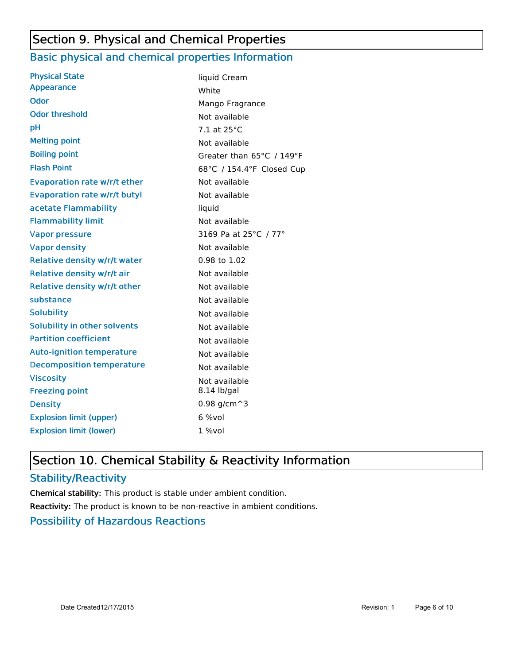# Section 9. Physical and Chemical Properties

## Basic physical and chemical properties Information

| <b>Physical State</b>               | liquid Cream              |
|-------------------------------------|---------------------------|
| <b>Appearance</b>                   | White                     |
| <b>Odor</b>                         | Mango Fragrance           |
| <b>Odor threshold</b>               | Not available             |
| рH                                  | 7.1 at 25°C               |
| <b>Melting point</b>                | Not available             |
| <b>Boiling point</b>                | Greater than 65°C / 149°F |
| <b>Flash Point</b>                  | 68°C / 154.4°F Closed Cup |
| <b>Evaporation rate w/r/t ether</b> | Not available             |
| <b>Evaporation rate w/r/t butyl</b> | Not available             |
| acetate Flammability                | liquid                    |
| <b>Flammability limit</b>           | Not available             |
| <b>Vapor pressure</b>               | 3169 Pa at 25°C / 77°     |
| <b>Vapor density</b>                | Not available             |
| <b>Relative density w/r/t water</b> | 0.98 to 1.02              |
| Relative density w/r/t air          | Not available             |
| Relative density w/r/t other        | Not available             |
| substance                           | Not available             |
| <b>Solubility</b>                   | Not available             |
| <b>Solubility in other solvents</b> | Not available             |
| <b>Partition coefficient</b>        | Not available             |
| <b>Auto-ignition temperature</b>    | Not available             |
| <b>Decomposition temperature</b>    | Not available             |
| <b>Viscosity</b>                    | Not available             |
| <b>Freezing point</b>               | 8.14 lb/gal               |
| <b>Density</b>                      | 0.98 $g/cm^3$             |
| <b>Explosion limit (upper)</b>      | $6$ %vol                  |
| <b>Explosion limit (lower)</b>      | $1\%$ vol                 |
|                                     |                           |

# Section 10. Chemical Stability & Reactivity Information

## Stability/Reactivity

Chemical stability: This product is stable under ambient condition. Reactivity: The product is known to be non-reactive in ambient conditions.

## Possibility of Hazardous Reactions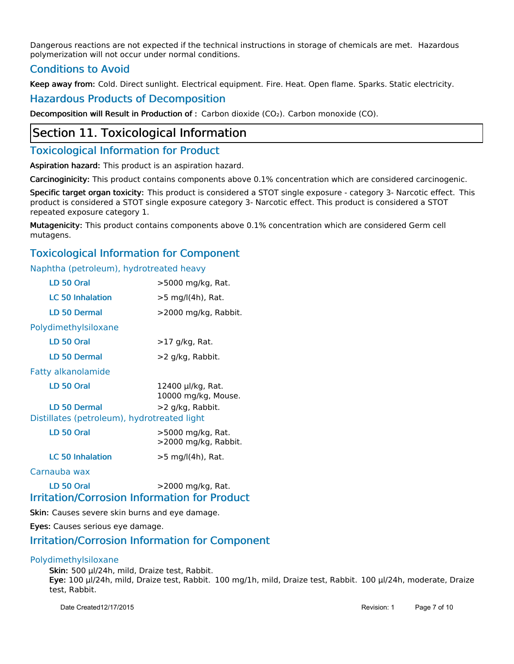Dangerous reactions are not expected if the technical instructions in storage of chemicals are met. Hazardous polymerization will not occur under normal conditions.

## Conditions to Avoid

Keep away from: Cold. Direct sunlight. Electrical equipment. Fire. Heat. Open flame. Sparks. Static electricity.

### Hazardous Products of Decomposition

Decomposition will Result in Production of : Carbon dioxide (CO2). Carbon monoxide (CO).

## Section 11. Toxicological Information

## **Toxicological Information for Product**

Aspiration hazard: This product is an aspiration hazard.

Carcinoginicity: This product contains components above 0.1% concentration which are considered carcinogenic.

Specific target organ toxicity: This product is considered a STOT single exposure - category 3- Narcotic effect. This product is considered a STOT single exposure category 3- Narcotic effect. This product is considered a STOT repeated exposure category 1.

Mutagenicity: This product contains components above 0.1% concentration which are considered Germ cell mutagens.

## Toxicological Information for Component

Naphtha (petroleum), hydrotreated heavy

| LD <sub>50</sub> Oral                       | >5000 mg/kg, Rat.                                                        |
|---------------------------------------------|--------------------------------------------------------------------------|
| <b>LC 50 Inhalation</b>                     | >5 mg/l(4h), Rat.                                                        |
| LD 50 Dermal                                | >2000 mg/kg, Rabbit.                                                     |
| Polydimethylsiloxane                        |                                                                          |
| LD 50 Oral                                  | >17 g/kg, Rat.                                                           |
| <b>LD 50 Dermal</b>                         | >2 g/kg, Rabbit.                                                         |
| <b>Fatty alkanolamide</b>                   |                                                                          |
| LD <sub>50</sub> Oral                       | 12400 µl/kg, Rat.<br>10000 mg/kg, Mouse.                                 |
| <b>LD 50 Dermal</b>                         | >2 g/kg, Rabbit.                                                         |
| Distillates (petroleum), hydrotreated light |                                                                          |
| LD 50 Oral                                  | >5000 mg/kg, Rat.<br>>2000 mg/kg, Rabbit.                                |
| <b>LC 50 Inhalation</b>                     | >5 mg/l(4h), Rat.                                                        |
| Carnauba wax                                |                                                                          |
| LD <sub>50</sub> Oral                       | >2000 mg/kg, Rat.<br><b>Irritation/Corrosion Information for Product</b> |
|                                             |                                                                          |

Skin: Causes severe skin burns and eye damage.

Eyes: Causes serious eye damage.

### Irritation/Corrosion Information for Component

### Polydimethylsiloxane

Skin: 500 μl/24h, mild, Draize test, Rabbit. Eye: 100 μl/24h, mild, Draize test, Rabbit. 100 mg/1h, mild, Draize test, Rabbit. 100 μl/24h, moderate, Draize test, Rabbit.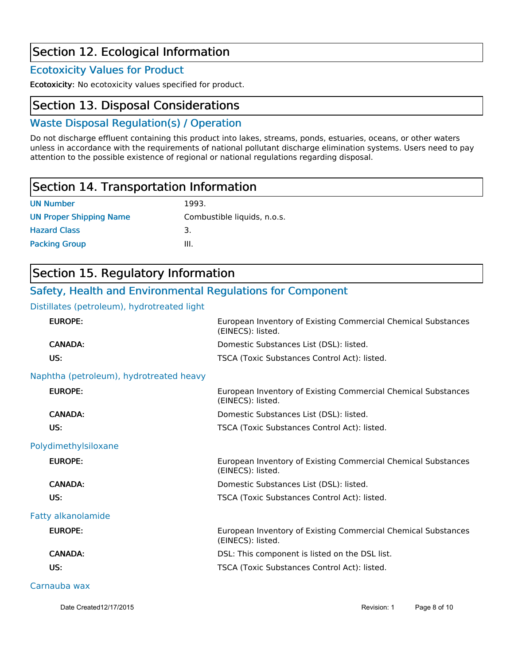# Section 12. Ecological Information

## Ecotoxicity Values for Product

Ecotoxicity: No ecotoxicity values specified for product.

## Section 13. Disposal Considerations

## Waste Disposal Regulation(s) / Operation

Do not discharge effluent containing this product into lakes, streams, ponds, estuaries, oceans, or other waters unless in accordance with the requirements of national pollutant discharge elimination systems. Users need to pay attention to the possible existence of regional or national regulations regarding disposal.

# Section 14. Transportation Information

| <b>UN Number</b>               | 1993.                       |
|--------------------------------|-----------------------------|
| <b>UN Proper Shipping Name</b> | Combustible liquids, n.o.s. |
| <b>Hazard Class</b>            | 3.                          |
| <b>Packing Group</b>           | Ш.                          |

# Section 15. Regulatory Information

## Safety, Health and Environmental Regulations for Component

### Distillates (petroleum), hydrotreated light

| <b>EUROPE:</b>                          | European Inventory of Existing Commercial Chemical Substances<br>(EINECS): listed. |
|-----------------------------------------|------------------------------------------------------------------------------------|
| <b>CANADA:</b>                          | Domestic Substances List (DSL): listed.                                            |
| US:                                     | TSCA (Toxic Substances Control Act): listed.                                       |
| Naphtha (petroleum), hydrotreated heavy |                                                                                    |
| <b>EUROPE:</b>                          | European Inventory of Existing Commercial Chemical Substances<br>(EINECS): listed. |
| <b>CANADA:</b>                          | Domestic Substances List (DSL): listed.                                            |
| US:                                     | TSCA (Toxic Substances Control Act): listed.                                       |
| Polydimethylsiloxane                    |                                                                                    |
| <b>EUROPE:</b>                          | European Inventory of Existing Commercial Chemical Substances<br>(EINECS): listed. |
| <b>CANADA:</b>                          | Domestic Substances List (DSL): listed.                                            |
| US:                                     | TSCA (Toxic Substances Control Act): listed.                                       |
| <b>Fatty alkanolamide</b>               |                                                                                    |
| <b>EUROPE:</b>                          | European Inventory of Existing Commercial Chemical Substances<br>(EINECS): listed. |
| <b>CANADA:</b>                          | DSL: This component is listed on the DSL list.                                     |
| US:                                     | TSCA (Toxic Substances Control Act): listed.                                       |
| Carnauba wax                            |                                                                                    |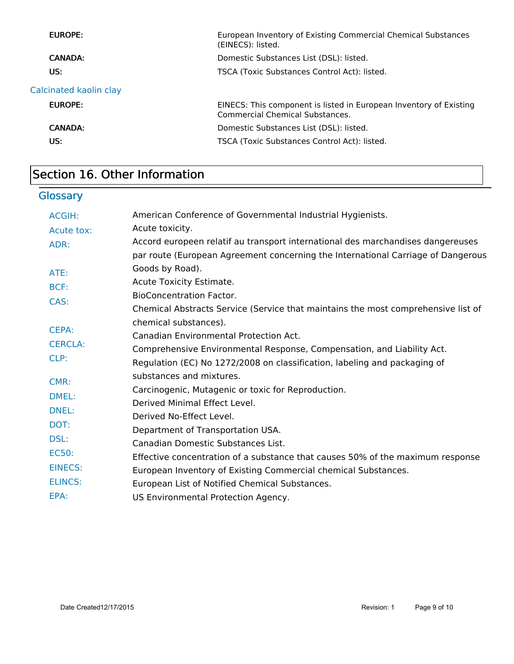| <b>EUROPE:</b>         | European Inventory of Existing Commercial Chemical Substances<br>(EINECS): listed.                    |  |
|------------------------|-------------------------------------------------------------------------------------------------------|--|
| CANADA:                | Domestic Substances List (DSL): listed.                                                               |  |
| US:                    | TSCA (Toxic Substances Control Act): listed.                                                          |  |
| Calcinated kaolin clay |                                                                                                       |  |
| <b>EUROPE:</b>         | EINECS: This component is listed in European Inventory of Existing<br>Commercial Chemical Substances. |  |
| CANADA:                | Domestic Substances List (DSL): listed.                                                               |  |
| US:                    | TSCA (Toxic Substances Control Act): listed.                                                          |  |
|                        |                                                                                                       |  |

# Section 16. Other Information

# **Glossary**

| <b>ACGIH:</b>  | American Conference of Governmental Industrial Hygienists.                        |
|----------------|-----------------------------------------------------------------------------------|
| Acute tox:     | Acute toxicity.                                                                   |
| ADR:           | Accord europeen relatif au transport international des marchandises dangereuses   |
|                | par route (European Agreement concerning the International Carriage of Dangerous  |
| ATE:           | Goods by Road).                                                                   |
| BCF:           | Acute Toxicity Estimate.                                                          |
| CAS:           | <b>BioConcentration Factor.</b>                                                   |
|                | Chemical Abstracts Service (Service that maintains the most comprehensive list of |
|                | chemical substances).                                                             |
| CEPA:          | Canadian Environmental Protection Act.                                            |
| <b>CERCLA:</b> | Comprehensive Environmental Response, Compensation, and Liability Act.            |
| CLP:           | Regulation (EC) No 1272/2008 on classification, labeling and packaging of         |
| CMR:           | substances and mixtures.                                                          |
|                | Carcinogenic, Mutagenic or toxic for Reproduction.                                |
| DMEL:          | Derived Minimal Effect Level.                                                     |
| <b>DNEL:</b>   | Derived No-Effect Level.                                                          |
| DOT:           | Department of Transportation USA.                                                 |
| DSL:           | Canadian Domestic Substances List.                                                |
| <b>EC50:</b>   | Effective concentration of a substance that causes 50% of the maximum response    |
| <b>EINECS:</b> | European Inventory of Existing Commercial chemical Substances.                    |
| <b>ELINCS:</b> | European List of Notified Chemical Substances.                                    |
| EPA:           | US Environmental Protection Agency.                                               |
|                |                                                                                   |